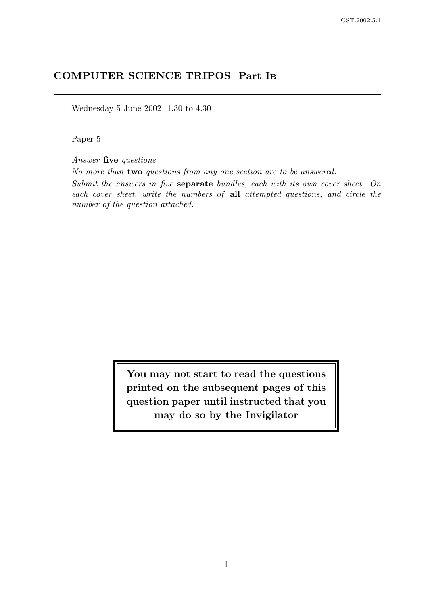# COMPUTER SCIENCE TRIPOS Part I<sup>B</sup>

Wednesday 5 June 2002 1.30 to 4.30

Paper 5

Answer five questions.

No more than two questions from any one section are to be answered.

Submit the answers in five separate bundles, each with its own cover sheet. On each cover sheet, write the numbers of all attempted questions, and circle the number of the question attached.

> You may not start to read the questions printed on the subsequent pages of this question paper until instructed that you may do so by the Invigilator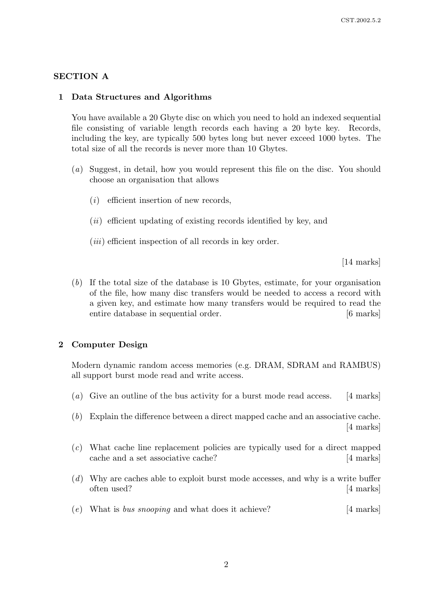### SECTION A

#### 1 Data Structures and Algorithms

You have available a 20 Gbyte disc on which you need to hold an indexed sequential file consisting of variable length records each having a 20 byte key. Records, including the key, are typically 500 bytes long but never exceed 1000 bytes. The total size of all the records is never more than 10 Gbytes.

- (a) Suggest, in detail, how you would represent this file on the disc. You should choose an organisation that allows
	- $(i)$  efficient insertion of new records,
	- $(ii)$  efficient updating of existing records identified by key, and
	- $(iii)$  efficient inspection of all records in key order.

[14 marks]

(b) If the total size of the database is 10 Gbytes, estimate, for your organisation of the file, how many disc transfers would be needed to access a record with a given key, and estimate how many transfers would be required to read the entire database in sequential order. [6 marks]

#### 2 Computer Design

Modern dynamic random access memories (e.g. DRAM, SDRAM and RAMBUS) all support burst mode read and write access.

- (a) Give an outline of the bus activity for a burst mode read access. [4 marks]
- (b) Explain the difference between a direct mapped cache and an associative cache. [4 marks]
- (c) What cache line replacement policies are typically used for a direct mapped cache and a set associative cache? [4 marks]
- (d) Why are caches able to exploit burst mode accesses, and why is a write buffer often used? [4 marks]
- $(e)$  What is bus snooping and what does it achieve? [4 marks]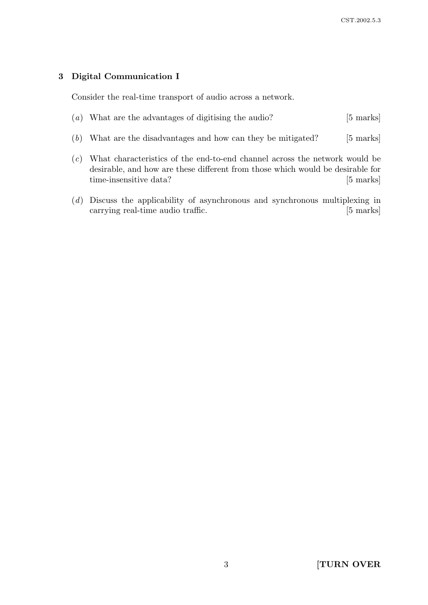# 3 Digital Communication I

Consider the real-time transport of audio across a network.

|  | $(a)$ What are the advantages of digitising the audio? | $[5 \text{ marks}]$ |
|--|--------------------------------------------------------|---------------------|
|--|--------------------------------------------------------|---------------------|

- (b) What are the disadvantages and how can they be mitigated? [5 marks]
- (c) What characteristics of the end-to-end channel across the network would be desirable, and how are these different from those which would be desirable for time-insensitive data? [5 marks]
- (d) Discuss the applicability of asynchronous and synchronous multiplexing in carrying real-time audio traffic. [5 marks]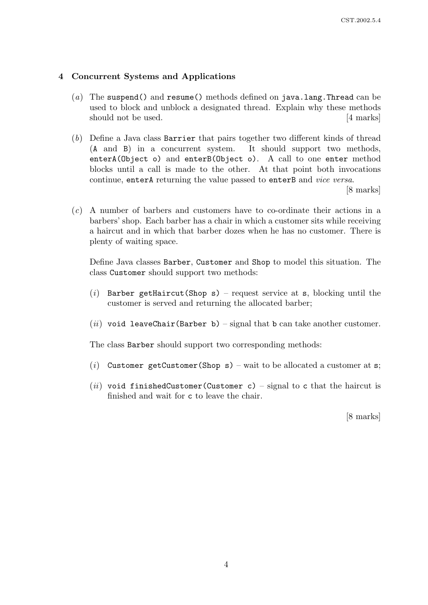# 4 Concurrent Systems and Applications

- (a) The suspend() and resume() methods defined on java.lang. Thread can be used to block and unblock a designated thread. Explain why these methods should not be used.  $[4 \text{ marks}]$
- (b) Define a Java class Barrier that pairs together two different kinds of thread (A and B) in a concurrent system. It should support two methods, enterA(Object o) and enterB(Object o). A call to one enter method blocks until a call is made to the other. At that point both invocations continue, enterA returning the value passed to enterB and *vice versa*.

[8 marks]

(c) A number of barbers and customers have to co-ordinate their actions in a barbers' shop. Each barber has a chair in which a customer sits while receiving a haircut and in which that barber dozes when he has no customer. There is plenty of waiting space.

Define Java classes Barber, Customer and Shop to model this situation. The class Customer should support two methods:

- (i) Barber getHaircut(Shop s) request service at s, blocking until the customer is served and returning the allocated barber;
- (ii) void leaveChair(Barber b) signal that b can take another customer.

The class Barber should support two corresponding methods:

- (i) Customer getCustomer(Shop s) wait to be allocated a customer at s;
- (ii) void finishedCustomer(Customer c) signal to c that the haircut is finished and wait for c to leave the chair.

[8 marks]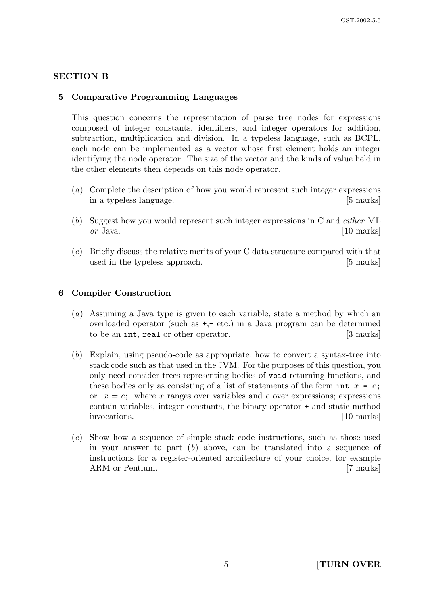# SECTION B

### 5 Comparative Programming Languages

This question concerns the representation of parse tree nodes for expressions composed of integer constants, identifiers, and integer operators for addition, subtraction, multiplication and division. In a typeless language, such as BCPL, each node can be implemented as a vector whose first element holds an integer identifying the node operator. The size of the vector and the kinds of value held in the other elements then depends on this node operator.

- (a) Complete the description of how you would represent such integer expressions in a typeless language. [5 marks]
- (b) Suggest how you would represent such integer expressions in C and either ML  $or$  Java.  $[10 \text{ marks}]$
- (c) Briefly discuss the relative merits of your C data structure compared with that used in the typeless approach. [5 marks]

### 6 Compiler Construction

- (a) Assuming a Java type is given to each variable, state a method by which an overloaded operator (such as  $+,-$  etc.) in a Java program can be determined to be an int, real or other operator. [3 marks]
- (b) Explain, using pseudo-code as appropriate, how to convert a syntax-tree into stack code such as that used in the JVM. For the purposes of this question, you only need consider trees representing bodies of void-returning functions, and these bodies only as consisting of a list of statements of the form int  $x = e$ ; or  $x = e$ ; where x ranges over variables and e over expressions; expressions contain variables, integer constants, the binary operator + and static method invocations. [10 marks]  $\qquad \qquad$  [10 marks]
- (c) Show how a sequence of simple stack code instructions, such as those used in your answer to part  $(b)$  above, can be translated into a sequence of instructions for a register-oriented architecture of your choice, for example ARM or Pentium. [7 marks]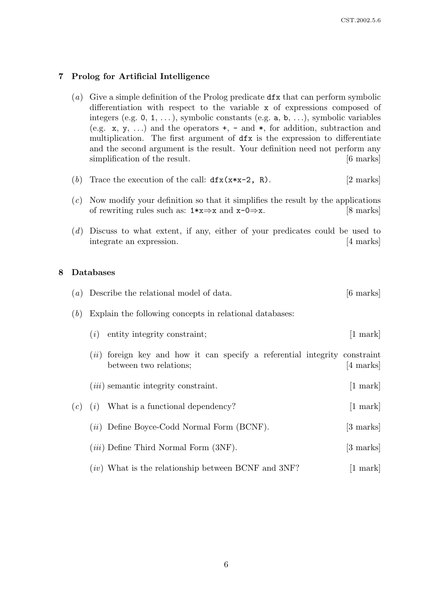# 7 Prolog for Artificial Intelligence

- (a) Give a simple definition of the Prolog predicate  $dfx$  that can perform symbolic differentiation with respect to the variable x of expressions composed of integers (e.g.  $0, 1, \ldots$ ), symbolic constants (e.g.  $a, b, \ldots$ ), symbolic variables (e.g.  $x, y, \ldots$ ) and the operators  $+, -$  and  $*,$  for addition, subtraction and multiplication. The first argument of dfx is the expression to differentiate and the second argument is the result. Your definition need not perform any simplification of the result. [6 marks]
- (b) Trace the execution of the call:  $dfx(x*x-2, R)$ . [2 marks]
- $(c)$  Now modify your definition so that it simplifies the result by the applications of rewriting rules such as:  $1 \times x \Rightarrow x$  and  $x - 0 \Rightarrow x$ . [8 marks]
- (d) Discuss to what extent, if any, either of your predicates could be used to integrate an expression. [4 marks]

# 8 Databases

| (a) | Describe the relational model of data.                                                               | [6 marks]          |
|-----|------------------------------------------------------------------------------------------------------|--------------------|
| (b) | Explain the following concepts in relational databases:                                              |                    |
|     | entity integrity constraint;<br>(i)                                                                  | $[1 \text{ mark}]$ |
|     | (ii) foreign key and how it can specify a referential integrity constraint<br>between two relations; | 4 marks            |
|     | $(iii)$ semantic integrity constraint.                                                               | $[1 \text{ mark}]$ |
| (c) | What is a functional dependency?<br>(i)                                                              | $[1 \text{ mark}]$ |
|     | $(ii)$ Define Boyce-Codd Normal Form (BCNF).                                                         | [3 marks]          |
|     | $(iii)$ Define Third Normal Form $(3NF)$ .                                                           | [3 marks]          |
|     | $(iv)$ What is the relationship between BCNF and 3NF?                                                | $ 1$ mark          |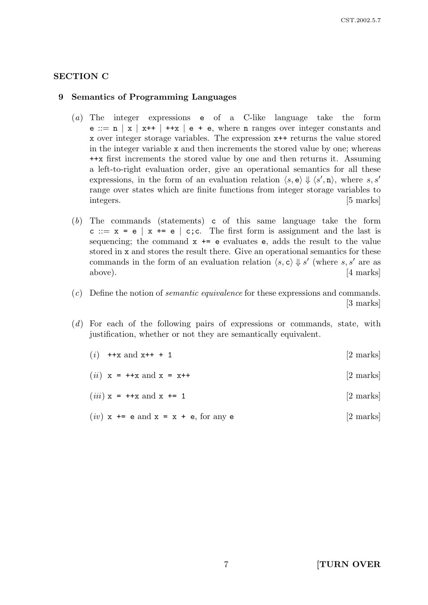# SECTION C

### 9 Semantics of Programming Languages

- (a) The integer expressions e of a C-like language take the form e ::=  $n | x | x$ ++ | ++x | e + e, where n ranges over integer constants and x over integer storage variables. The expression x++ returns the value stored in the integer variable x and then increments the stored value by one; whereas ++x first increments the stored value by one and then returns it. Assuming a left-to-right evaluation order, give an operational semantics for all these expressions, in the form of an evaluation relation  $\langle s, e \rangle \Downarrow \langle s', n \rangle$ , where s, s' range over states which are finite functions from integer storage variables to integers. [5 marks]
- (b) The commands (statements) c of this same language take the form c ::=  $x = e | x += e | c; c$ . The first form is assignment and the last is sequencing; the command  $x \leftrightarrow e$  evaluates e, adds the result to the value stored in x and stores the result there. Give an operational semantics for these commands in the form of an evaluation relation  $\langle s, c \rangle \Downarrow s'$  (where s, s' are as above). [4 marks]
- (c) Define the notion of semantic equivalence for these expressions and commands. [3 marks]
- (d) For each of the following pairs of expressions or commands, state, with justification, whether or not they are semantically equivalent.

| $(i)$ ++x and x++ + 1                  | [2 marks]           |
|----------------------------------------|---------------------|
| $(ii)$ x = ++x and x = x++             | $[2 \text{ marks}]$ |
| $(iii)$ x = ++x and x += 1             | $[2 \text{ marks}]$ |
| $(iv)$ x += e and x = x + e, for any e | [2 marks]           |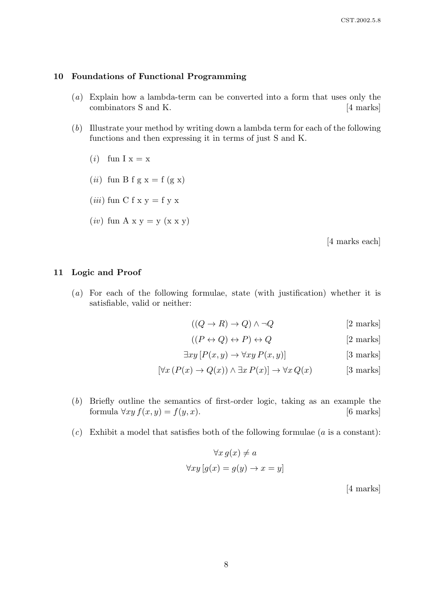#### 10 Foundations of Functional Programming

- (a) Explain how a lambda-term can be converted into a form that uses only the combinators S and K. [4 marks]
- (b) Illustrate your method by writing down a lambda term for each of the following functions and then expressing it in terms of just S and K.
	- $(i)$  fun I x = x
	- (*ii*) fun B f g  $x = f(g x)$
	- $(iii)$  fun C f x y = f y x
	- $(iv)$  fun A x y = y (x x y)

[4 marks each]

# 11 Logic and Proof

- (a) For each of the following formulae, state (with justification) whether it is satisfiable, valid or neither:
	- $((Q \rightarrow R) \rightarrow Q) \land \neg Q$  [2 marks]

$$
((P \leftrightarrow Q) \leftrightarrow P) \leftrightarrow Q \tag{2 marks}
$$

$$
\exists xy \left[ P(x, y) \to \forall xy \, P(x, y) \right] \tag{3 marks}
$$

$$
[\forall x (P(x) \to Q(x)) \land \exists x P(x)] \to \forall x Q(x) \qquad [3 \text{ marks}]
$$

- (b) Briefly outline the semantics of first-order logic, taking as an example the formula  $\forall xy f(x, y) = f(y, x).$  [6 marks]
- $(c)$  Exhibit a model that satisfies both of the following formulae (*a* is a constant):

$$
\forall x \, g(x) \neq a
$$

$$
\forall xy \, [g(x) = g(y) \rightarrow x = y]
$$

[4 marks]